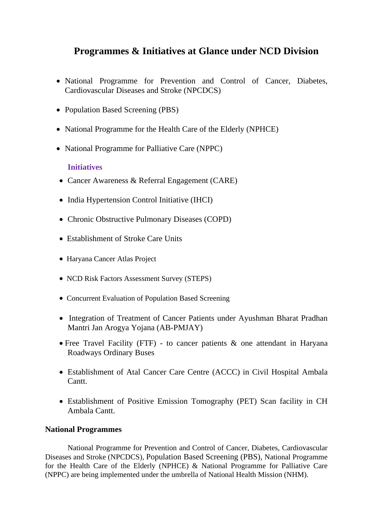# **Programmes & Initiatives at Glance under NCD Division**

- National Programme for Prevention and Control of Cancer, Diabetes, Cardiovascular Diseases and Stroke (NPCDCS)
- Population Based Screening (PBS)
- National Programme for the Health Care of the Elderly (NPHCE)
- National Programme for Palliative Care (NPPC)

# **Initiatives**

- Cancer Awareness & Referral Engagement (CARE)
- India Hypertension Control Initiative (IHCI)
- Chronic Obstructive Pulmonary Diseases (COPD)
- Establishment of Stroke Care Units
- Haryana Cancer Atlas Project
- NCD Risk Factors Assessment Survey (STEPS)
- Concurrent Evaluation of Population Based Screening
- Integration of Treatment of Cancer Patients under Ayushman Bharat Pradhan Mantri Jan Arogya Yojana (AB-PMJAY)
- Free Travel Facility (FTF) to cancer patients & one attendant in Haryana Roadways Ordinary Buses
- Establishment of Atal Cancer Care Centre (ACCC) in Civil Hospital Ambala Cantt.
- Establishment of Positive Emission Tomography (PET) Scan facility in CH Ambala Cantt.

### **National Programmes**

National Programme for Prevention and Control of Cancer, Diabetes, Cardiovascular Diseases and Stroke (NPCDCS), Population Based Screening (PBS), National Programme for the Health Care of the Elderly (NPHCE) & National Programme for Palliative Care (NPPC) are being implemented under the umbrella of National Health Mission (NHM).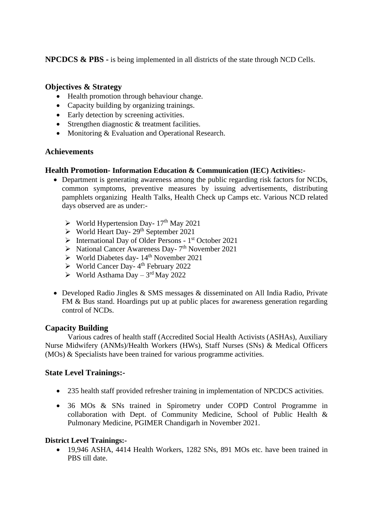**NPCDCS & PBS -** is being implemented in all districts of the state through NCD Cells.

# **Objectives & Strategy**

- Health promotion through behaviour change.
- Capacity building by organizing trainings.
- Early detection by screening activities.
- Strengthen diagnostic & treatment facilities.
- Monitoring & Evaluation and Operational Research.

### **Achievements**

### **Health Promotion- Information Education & Communication (IEC) Activities:-**

- Department is generating awareness among the public regarding risk factors for NCDs, common symptoms, preventive measures by issuing advertisements, distributing pamphlets organizing Health Talks, Health Check up Camps etc. Various NCD related days observed are as under:-
	- $\triangleright$  World Hypertension Day- 17<sup>th</sup> May 2021
	- $\triangleright$  World Heart Day- 29<sup>th</sup> September 2021
	- ➢ International Day of Older Persons 1 st October 2021
	- ➢ National Cancer Awareness Day- 7 th November 2021
	- $\triangleright$  World Diabetes day- 14<sup>th</sup> November 2021
	- ➢ World Cancer Day- 4 th February 2022
	- $\triangleright$  World Asthama Day 3<sup>rd</sup> May 2022
- Developed Radio Jingles & SMS messages & disseminated on All India Radio, Private FM & Bus stand. Hoardings put up at public places for awareness generation regarding control of NCDs.

# **Capacity Building**

Various cadres of health staff (Accredited Social Health Activists (ASHAs), Auxiliary Nurse Midwifery (ANMs)/Health Workers (HWs), Staff Nurses (SNs) & Medical Officers (MOs) & Specialists have been trained for various programme activities.

# **State Level Trainings:-**

- 235 health staff provided refresher training in implementation of NPCDCS activities.
- 36 MOs & SNs trained in Spirometry under COPD Control Programme in collaboration with Dept. of Community Medicine, School of Public Health & Pulmonary Medicine, PGIMER Chandigarh in November 2021.

### **District Level Trainings:-**

• 19,946 ASHA, 4414 Health Workers, 1282 SNs, 891 MOs etc. have been trained in PBS till date.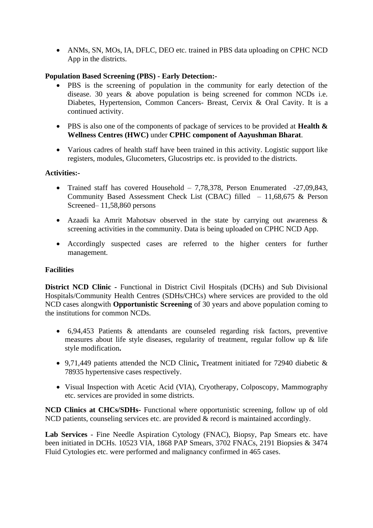• ANMs, SN, MOs, IA, DFLC, DEO etc. trained in PBS data uploading on CPHC NCD App in the districts.

### **Population Based Screening (PBS) - Early Detection:-**

- PBS is the screening of population in the community for early detection of the disease. 30 years  $\&$  above population is being screened for common NCDs i.e. Diabetes, Hypertension, Common Cancers- Breast, Cervix & Oral Cavity. It is a continued activity.
- PBS is also one of the components of package of services to be provided at **Health & Wellness Centres (HWC)** under **CPHC component of Aayushman Bharat**.
- Various cadres of health staff have been trained in this activity. Logistic support like registers, modules, Glucometers, Glucostrips etc. is provided to the districts.

#### **Activities:-**

- Trained staff has covered Household 7,78,378, Person Enumerated -27,09,843, Community Based Assessment Check List (CBAC) filled – 11,68,675 & Person Screened– 11,58,860 persons
- Azaadi ka Amrit Mahotsav observed in the state by carrying out awareness & screening activities in the community. Data is being uploaded on CPHC NCD App.
- Accordingly suspected cases are referred to the higher centers for further management.

### **Facilities**

**District NCD Clinic -** Functional in District Civil Hospitals (DCHs) and Sub Divisional Hospitals/Community Health Centres (SDHs/CHCs) where services are provided to the old NCD cases alongwith **Opportunistic Screening** of 30 years and above population coming to the institutions for common NCDs.

- 6,94,453 Patients & attendants are counseled regarding risk factors, preventive measures about life style diseases, regularity of treatment, regular follow up & life style modification**.**
- 9,71,449 patients attended the NCD Clinic**,** Treatment initiated for 72940 diabetic & 78935 hypertensive cases respectively.
- Visual Inspection with Acetic Acid (VIA), Cryotherapy, Colposcopy, Mammography etc. services are provided in some districts.

**NCD Clinics at CHCs/SDHs-** Functional where opportunistic screening, follow up of old NCD patients, counseling services etc. are provided  $\&$  record is maintained accordingly.

**Lab Services** - Fine Needle Aspiration Cytology (FNAC), Biopsy, Pap Smears etc. have been initiated in DCHs. 10523 VIA, 1868 PAP Smears, 3702 FNACs, 2191 Biopsies & 3474 Fluid Cytologies etc. were performed and malignancy confirmed in 465 cases.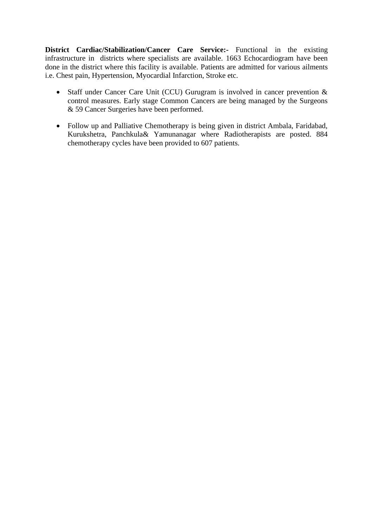**District Cardiac/Stabilization/Cancer Care Service:-** Functional in the existing infrastructure in districts where specialists are available. 1663 Echocardiogram have been done in the district where this facility is available. Patients are admitted for various ailments i.e. Chest pain, Hypertension, Myocardial Infarction, Stroke etc.

- Staff under Cancer Care Unit (CCU) Gurugram is involved in cancer prevention & control measures. Early stage Common Cancers are being managed by the Surgeons & 59 Cancer Surgeries have been performed.
- Follow up and Palliative Chemotherapy is being given in district Ambala, Faridabad, Kurukshetra, Panchkula& Yamunanagar where Radiotherapists are posted. 884 chemotherapy cycles have been provided to 607 patients.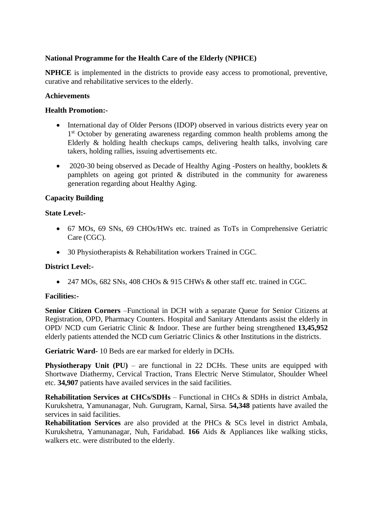#### **National Programme for the Health Care of the Elderly (NPHCE)**

**NPHCE** is implemented in the districts to provide easy access to promotional, preventive, curative and rehabilitative services to the elderly.

#### **Achievements**

#### **Health Promotion:-**

- International day of Older Persons (IDOP) observed in various districts every year on 1<sup>st</sup> October by generating awareness regarding common health problems among the Elderly & holding health checkups camps, delivering health talks, involving care takers, holding rallies, issuing advertisements etc.
- 2020-30 being observed as Decade of Healthy Aging -Posters on healthy, booklets & pamphlets on ageing got printed & distributed in the community for awareness generation regarding about Healthy Aging.

#### **Capacity Building**

#### **State Level:-**

- 67 MOs, 69 SNs, 69 CHOs/HWs etc. trained as ToTs in Comprehensive Geriatric Care (CGC).
- 30 Physiotherapists & Rehabilitation workers Trained in CGC.

#### **District Level:-**

• 247 MOs, 682 SNs, 408 CHOs & 915 CHWs & other staff etc. trained in CGC.

#### **Facilities:-**

**Senior Citizen Corners** –Functional in DCH with a separate Queue for Senior Citizens at Registration, OPD, Pharmacy Counters. Hospital and Sanitary Attendants assist the elderly in OPD/ NCD cum Geriatric Clinic & Indoor. These are further being strengthened **13,45,952** elderly patients attended the NCD cum Geriatric Clinics & other Institutions in the districts.

**Geriatric Ward-** 10 Beds are ear marked for elderly in DCHs.

**Physiotherapy Unit (PU)** – are functional in 22 DCHs. These units are equipped with Shortwave Diathermy, Cervical Traction, Trans Electric Nerve Stimulator, Shoulder Wheel etc. **34,907** patients have availed services in the said facilities.

 **Rehabilitation Services at CHCs/SDHs** – Functional in CHCs & SDHs in district Ambala, Kurukshetra, Yamunanagar, Nuh. Gurugram, Karnal, Sirsa. **54,348** patients have availed the services in said facilities.

**Rehabilitation Services** are also provided at the PHCs & SCs level in district Ambala, Kurukshetra, Yamunanagar, Nuh, Faridabad. **166** Aids & Appliances like walking sticks, walkers etc. were distributed to the elderly.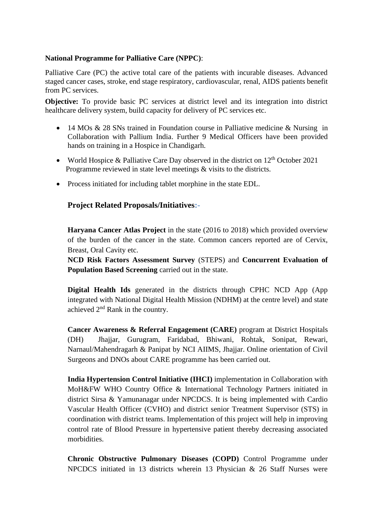#### **National Programme for Palliative Care (NPPC)**:

Palliative Care (PC) the active total care of the patients with incurable diseases. Advanced staged cancer cases, stroke, end stage respiratory, cardiovascular, renal, AIDS patients benefit from PC services.

**Objective:** To provide basic PC services at district level and its integration into district healthcare delivery system, build capacity for delivery of PC services etc.

- 14 MOs & 28 SNs trained in Foundation course in Palliative medicine & Nursing in Collaboration with Pallium India. Further 9 Medical Officers have been provided hands on training in a Hospice in Chandigarh.
- World Hospice & Palliative Care Day observed in the district on  $12<sup>th</sup>$  October 2021 Programme reviewed in state level meetings & visits to the districts.
- Process initiated for including tablet morphine in the state EDL.

# **Project Related Proposals/Initiatives:-**

**Haryana Cancer Atlas Project** in the state (2016 to 2018) which provided overview of the burden of the cancer in the state. Common cancers reported are of Cervix, Breast, Oral Cavity etc.

**NCD Risk Factors Assessment Survey** (STEPS) and **Concurrent Evaluation of Population Based Screening** carried out in the state.

**Digital Health Ids** generated in the districts through CPHC NCD App (App integrated with National Digital Health Mission (NDHM) at the centre level) and state achieved 2nd Rank in the country.

**Cancer Awareness & Referral Engagement (CARE)** program at District Hospitals (DH) Jhajjar, Gurugram, Faridabad, Bhiwani, Rohtak, Sonipat, Rewari, Narnaul/Mahendragarh & Panipat by NCI AIIMS, Jhajjar. Online orientation of Civil Surgeons and DNOs about CARE programme has been carried out.

**India Hypertension Control Initiative (IHCI)** implementation in Collaboration with MoH&FW WHO Country Office & International Technology Partners initiated in district Sirsa & Yamunanagar under NPCDCS. It is being implemented with Cardio Vascular Health Officer (CVHO) and district senior Treatment Supervisor (STS) in coordination with district teams. Implementation of this project will help in improving control rate of Blood Pressure in hypertensive patient thereby decreasing associated morbidities.

**Chronic Obstructive Pulmonary Diseases (COPD)** Control Programme under NPCDCS initiated in 13 districts wherein 13 Physician & 26 Staff Nurses were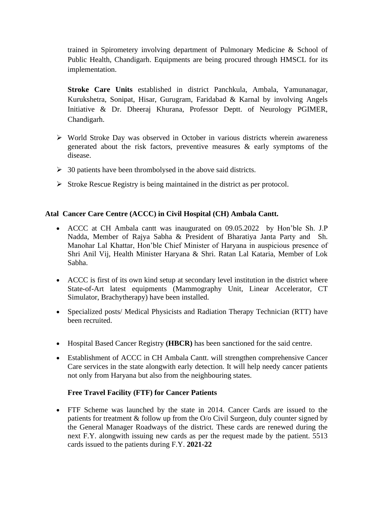trained in Spirometery involving department of Pulmonary Medicine & School of Public Health, Chandigarh. Equipments are being procured through HMSCL for its implementation.

**Stroke Care Units** established in district Panchkula, Ambala, Yamunanagar, Kurukshetra, Sonipat, Hisar, Gurugram, Faridabad & Karnal by involving Angels Initiative & Dr. Dheeraj Khurana, Professor Deptt. of Neurology PGIMER, Chandigarh.

- ➢ World Stroke Day was observed in October in various districts wherein awareness generated about the risk factors, preventive measures & early symptoms of the disease.
- $\geq 30$  patients have been thrombolysed in the above said districts.
- ➢ Stroke Rescue Registry is being maintained in the district as per protocol.

# **Atal Cancer Care Centre (ACCC) in Civil Hospital (CH) Ambala Cantt.**

- ACCC at CH Ambala cantt was inaugurated on 09.05.2022 by Hon'ble Sh. J.P Nadda, Member of Rajya Sabha & President of Bharatiya Janta Party and Sh. Manohar Lal Khattar, Hon'ble Chief Minister of Haryana in auspicious presence of Shri Anil Vij, Health Minister Haryana & Shri. Ratan Lal Kataria, Member of Lok Sabha.
- ACCC is first of its own kind setup at secondary level institution in the district where State-of-Art latest equipments (Mammography Unit, Linear Accelerator, CT Simulator, Brachytherapy) have been installed.
- Specialized posts/ Medical Physicists and Radiation Therapy Technician (RTT) have been recruited.
- Hospital Based Cancer Registry **(HBCR)** has been sanctioned for the said centre.
- Establishment of ACCC in CH Ambala Cantt. will strengthen comprehensive Cancer Care services in the state alongwith early detection. It will help needy cancer patients not only from Haryana but also from the neighbouring states.

### **Free Travel Facility (FTF) for Cancer Patients**

• FTF Scheme was launched by the state in 2014. Cancer Cards are issued to the patients for treatment & follow up from the O/o Civil Surgeon, duly counter signed by the General Manager Roadways of the district. These cards are renewed during the next F.Y. alongwith issuing new cards as per the request made by the patient. 5513 cards issued to the patients during F.Y. **2021-22**